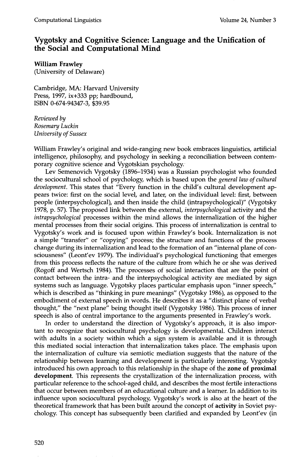## **Vygotsky and Cognitive Science: Language and the Unification of the Social and Computational Mind**

## **William Frawley**

(University of Delaware)

Cambridge, MA: Harvard University Press, 1997, ix+333 pp; hardbound, ISBN 0-674-94347-3, \$39.95

*Reviewed by Rosemary Luckin University of Sussex* 

William Frawley's original and wide-ranging new book embraces linguistics, artificial intelligence, philosophy, and psychology in seeking a reconciliation between contemporary cognitive science and Vygotskian psychology.

Lev Semenovich Vygotsky (1896-1934) was a Russian psychologist who founded the sociocultural school of psychology, which is based upon the *general law of cultural development.* This states that "Every function in the child's cultural development appears twice: first on the social level, and later, on the individual level: first, between people (interpsychological), and then inside the child (intrapsychological)" (Vygotsky 1978, p. 57). The proposed link between the external *interpsychological* activity and the *intrapsychological* processes within the mind allows the internalization of the higher mental processes from their social origins. This process of internalization is central to Vygotsky's work and is focused upon within Frawley's book. Internalization is not a simple "transfer" or "copying" process; the structure and functions of the process change during its internalization and lead to the formation of an "internal plane of consciousness" (Leont'ev 1979). The individual's psychological functioning that emerges from this process reflects the nature of the culture from which he or she was derived (Rogoff and Wertsch 1984). The processes of social interaction that are the point of contact between the intra- and the interpsychological activity are mediated by sign systems such as language. Vygotsky places particular emphasis upon "inner speech," which is described as "thinking in pure meanings" (Vygotsky 1986), as opposed to the embodiment of external speech in words. He describes it as a "distinct plane of verbal thought," the "next plane" being thought itself (Vygotsky 1986). This process of inner speech is also of central importance to the arguments presented in Frawley's work.

In order to understand the direction of Vygotsky's approach, it is also important to recognize that sociocultural psychology is developmental. Children interact with adults in a society within which a sign system is available and it is through this mediated social interaction that internalization takes place. The emphasis upon the internalization of culture via semiotic mediation suggests that the nature of the relationship between learning and development is particularly interesting. Vygotsky introduced his own approach to this relationship in the shape of the **zone of** proximal **development.** This represents the crystallization of the internalization process, with particular reference to the school-aged child, and describes the most fertile interactions that occur between members of an educational culture and a learner. In addition to its influence upon sociocultural psychology, Vygotsky's work is also at the heart of the theoretical framework that has been built around the concept of activity in Soviet psychology. This concept has subsequently been clarified and expanded by Leont'ev (in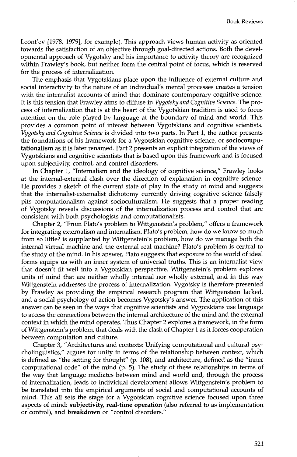Leont'ev [1978, 1979], for example). This approach views human activity as oriented towards the satisfaction of an objective through goal-directed actions. Both the developmental approach of Vygotsky and his importance to activity theory are recognized within Frawley's book but neither form the central point of focus, which is reserved for the process of internalization.

The emphasis that Vygotskians place upon the influence of external culture and social interactivity to the nature of an individual's mental processes creates a tension with the internalist accounts of mind that dominate contemporary cognitive science. It is this tension that Frawley aims to diffuse in *Vygotsky and Cognitive Science.* The process of internalization that is at the heart of the Vygotskian tradition is used to focus attention on the role played by language at the boundary of mind and world. This provides a common point of interest between Vygotskians and cognitive scientists. *Vygotsky and Cognitive Science* is divided into two parts. In Part 1, the author presents the foundations of his framework for a Vygotskian cognitive science, or sociocomputationalism as it is later renamed. Part 2 presents an explicit integration of the views of Vygotskians and cognitive scientists that is based upon this framework and is focused upon subjectivity, control and control disorders.

In Chapter 1, "Internalism and the ideology of cognitive science," Frawley looks at the internal-external clash over the direction of explanation in cognitive science. He provides a sketch of the current state of play in the study of mind and suggests that the internalist-externalist dichotomy currently driving cognitive science falsely pits computationalism against socioculturalism. He suggests that a proper reading of Vygotsky reveals discussions of the internalization process and control that are consistent with both psychologists and computationalists.

Chapter 2, "From Plato's problem to Wittgenstein's problem," offers a framework for integrating externalism and internalism. Plato's problem, how do we know so much from so little? is supplanted by Wittgenstein's problem, how do we manage both the internal virtual machine and the external real machine? Plato's problem is central to the study of the mind. In his answer, Plato suggests that exposure to the world of ideal forms equips us with an inner system of universal truths. This is an internalist view that doesn't fit well into a Vygotskian perspective. Wittgenstein's problem explores units of mind that are neither wholly internal nor wholly external, and in this way Wittgenstein addresses the process of internalization. Vygotsky is therefore presented by Frawley as providing the empirical research program that Wittgenstein lacked, and a social psychology of action becomes Vygotsky's answer. The application of this answer can be seen in the ways that cognitive scientists and Vygotskians use language to access the connections between the internal architecture of the mind and the external context in which the mind operates. Thus Chapter 2 explores a framework in the form of Wittgenstein's problem, that deals with the clash of Chapter I as it forces cooperation between computation and culture.

Chapter  $\hat{3}$ , "Architectures and contexts: Unifying computational and cultural psycholinguistics," argues for unity in terms of the relationship between context, which is defined as "the setting for thought" (p. 108), and architecture, defined as the "inner computational code" of the mind  $(p. 5)$ . The study of these relationships in terms of the way that language mediates between mind and world and, through the process of internalization, leads to individual development allows Wittgenstein's problem to be translated into the empirical arguments of social and computational accounts of mind. This all sets the stage for a Vygotskian cognitive science focused upon three aspects of mind: subjectivity, real-time operation (also referred to as implementation or control), and breakdown or "control disorders."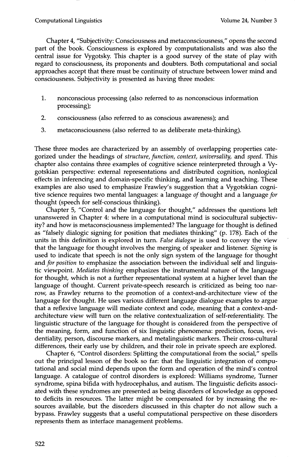Chapter 4, "Subjectivity: Consciousness and metaconsciousness," opens the second part of the book. Consciousness is explored by computationalists and was also the central issue for Vygotsky. This chapter is a good survey of the state of play with regard to consciousness, its proponents and doubters. Both computational and social approaches accept that there must be continuity of structure between lower mind and consciousness. Subjectivity is presented as having three modes:

- . nonconscious processing (also referred to as nonconscious information processing);
- 2. consciousness (also referred to as conscious awareness); and
- 3. metaconsciousness (also referred to as deliberate meta-thinking).

These three modes are characterized by an assembly of overlapping properties categorized under the headings of *structure, function, context, universality,* and *speed.* This chapter also contains three examples of cognitive science reinterpreted through a Vygotskian perspective: external representations and distributed cognition, nonlogical effects in inferencing and domain-specific thinking, and learning and teaching. These examples are also used to emphasize Frawley's suggestion that a Vygotskian cognitive science requires two mental languages: a language *of* thought and a language *for*  thought (speech for self-conscious thinking).

Chapter 5, "Control and the language for thought," addresses the questions left unanswered in Chapter 4: where in a computational mind is sociocultural subjectivity? and how is metaconsciousness implemented? The language for thought is defined as "falsely dialogic signing for position that mediates thinking" (p. 178). Each of the units in this definition is explored in turn. *False dialogue* is used to convey the view that the language for thought involves the merging of speaker and listener. *Signing* is used to indicate that speech is not the only sign system of the language for thought and *for position* to emphasize the association between the individual self and linguistic viewpoint. *Mediates thinking* emphasizes the instrumental nature of the language for thought, which is not a further representational system at a higher level than the language of thought. Current private-speech research is criticized as being too narrow, as Frawley returns to the promotion of a context-and-architecture view of the language for thought. He uses various different language dialogue examples to argue that a reflexive language will mediate context and code, meaning that a context-andarchitecture view will turn on the relative contextualization of self-referentiality. The linguistic structure of the language for thought is considered from the perspective of the meaning, form, and function of six linguistic phenomena: prediction, focus, evidentiality, person, discourse markers, and metalinguistic markers. Their cross-cultural differences, their early use by children, and their role in private speech are explored.

Chapter 6, "Control disorders: Splitting the computational from the social," spells out the principal lesson of the book so far: that the linguistic integration of computational and social mind depends upon the form and operation of the mind's control language. A catalogue of control disorders is explored: Williams syndrome, Turner syndrome, spina bifida with hydrocephalus, and autism. The linguistic deficits associated with these syndromes are presented as being disorders of knowledge as opposed to deficits in resources. The latter might be compensated for by increasing the resources available, but the disorders discussed in this chapter do not allow such a bypass. Frawley suggests that a useful computational perspective on these disorders represents them as interface management problems.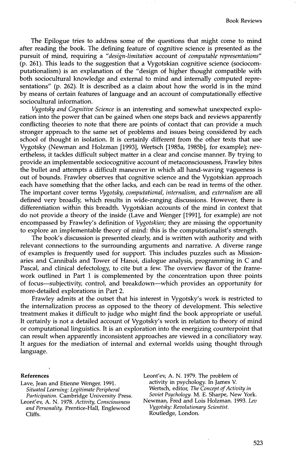The Epilogue tries to address some of the questions that might come to mind after reading the book. The defining feature of cognitive science is presented as the pursuit of mind, requiring a *"design-limitation* account of *computable representations"*  (p. 261). This leads to the suggestion that a Vygotskian cognitive science (sociocomputationalism) is an explanation of the "design of higher thought compatible with both sociocultural knowledge and external to mind and internally computed representations" (p. 262). It is described as a claim about how the world is in the mind by means of certain features of language and an account of computationally effective sociocultural information.

*Vygotsky and Cognitive Science* is an interesting and somewhat unexpected exploration into the power that can be gained when one steps back and reviews apparently conflicting theories to note that there are points of contact that can provide a much stronger approach to the same set of problems and issues being considered by each school of thought in isolation. It is certainly different from the other texts that use Vygotsky (Newman and Holzman [1993], Wertsch [1985a, 1985b], for example); nevertheless, it tackles difficult subject matter in a clear and concise manner. By trying to provide an implementable sociocognitive account of metaconsciousness, Frawley bites the bullet and attempts a difficult maneuver in which all hand-waving vagueness is out of bounds. Frawley observes that cognitive science and the Vygotskian approach each have something that the other lacks, and each can be read in terms of the other. The important cover terms *Vygotsky, computational, internalism,* and *externalism* are all defined very broadly, which results in wide-ranging discussions. However, there is differentiation within this breadth. Vygotskian accounts of the mind in context that do not provide a theory of the inside (Lave and Wenger [1991], for example) are not encompassed by Frawley's definition of *Vygotskian;* they are missing the opportunity to explore an implementable theory of mind: this is the computationalist's strength.

The book's discussion is presented clearly, and is written with authority and with relevant connections to the surrounding arguments and narrative. A diverse range of examples is frequently used for support. This includes puzzles such as Missionaries and Cannibals and Tower of Hanoi, dialogue analysis, programming in C and Pascal, and clinical defectology, to cite but a few. The overview flavor of the framework outlined in Part 1 is complemented by the concentration upon three points of focus--subjectivity, control, and breakdown--which provides an opportunity for more-detailed explorations in Part 2.

Frawley admits at the outset that his interest in Vygotsky's work is restricted to the internalization process as opposed to the theory of development. This selective treatment makes it difficult to judge who might find the book appropriate or useful. It certainly is not a detailed account of Vygotsky's work in relation to theory of mind or computational linguistics. It is an exploration into the energizing counterpoint that can result when apparently inconsistent approaches are viewed in a conciliatory way. It argues for the mediation of internal and external worlds using thought through language.

## **References**

- Lave, Jean and Etienne Wenger. 1991. *Situated Learning: Legitimate Peripheral Participation.* Cambridge University Press.
- Leont'ev, A. N. 1978. *Activity, Consciousness and Personality.* Prentice-Hall, Englewood Cliffs.

Leont'ev, A. N. 1979. The problem of activity in psychology. In James V. Wertsch, editor, *The Concept of Activity in Soviet Psychology.* M. E. Sharpe, New York. Newman, Fred and Lois Holzman. 1993. *Lev Vygotsky: Revolutionary Scientist.* 

Routledge, London.